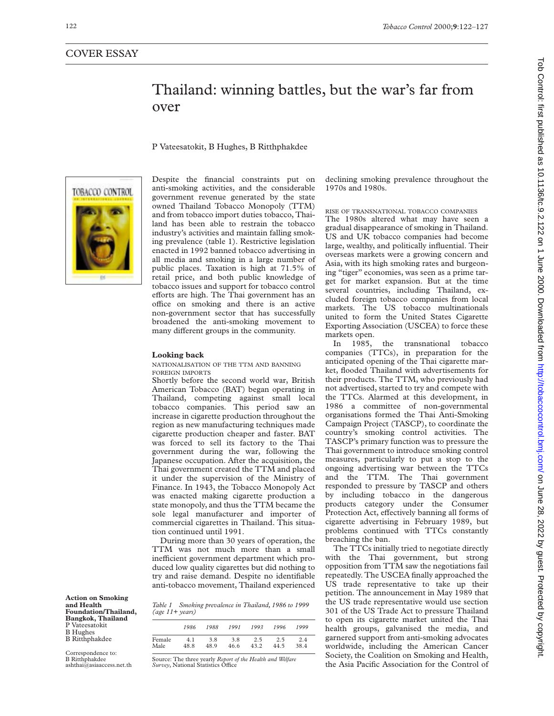# Thailand: winning battles, but the war's far from over

# P Vateesatokit, B Hughes, B Ritthphakdee



Despite the financial constraints put on anti-smoking activities, and the considerable government revenue generated by the state owned Thailand Tobacco Monopoly (TTM) and from tobacco import duties tobacco, Thailand has been able to restrain the tobacco industry's activities and maintain falling smoking prevalence (table 1). Restrictive legislation enacted in 1992 banned tobacco advertising in all media and smoking in a large number of public places. Taxation is high at 71.5% of retail price, and both public knowledge of tobacco issues and support for tobacco control efforts are high. The Thai government has an office on smoking and there is an active non-government sector that has successfully broadened the anti-smoking movement to many different groups in the community.

#### **Looking back**

NATIONALISATION OF THE TTM AND BANNING FOREIGN IMPORTS

Shortly before the second world war, British American Tobacco (BAT) began operating in Thailand, competing against small local tobacco companies. This period saw an increase in cigarette production throughout the region as new manufacturing techniques made cigarette production cheaper and faster. BAT was forced to sell its factory to the Thai government during the war, following the Japanese occupation. After the acquisition, the Thai government created the TTM and placed it under the supervision of the Ministry of Finance. In 1943, the Tobacco Monopoly Act was enacted making cigarette production a state monopoly, and thus the TTM became the sole legal manufacturer and importer of commercial cigarettes in Thailand. This situation continued until 1991.

During more than 30 years of operation, the TTM was not much more than a small inefficient government department which produced low quality cigarettes but did nothing to try and raise demand. Despite no identifiable anti-tobacco movement, Thailand experienced

*Table 1 Smoking prevalence in Thailand, 1986 to 1999 (age 11+ years)*

|        | 1986 | 1988 | 1991 | 1993 | 1996 | 1999 |
|--------|------|------|------|------|------|------|
| Female | 4.1  | 3.8  | 3.8  | 2.5  | 2.5  | 2.4  |
| Male   | 48.8 | 48.9 | 46.6 | 43.2 | 44.5 | 38.4 |

Correspondence to: B Ritthphakdee ashthai@asiaaccess.net.th

**Action on Smoking and Health Foundation/Thailand, Bangkok, Thailand** P Vateesatokit B Hughes B Ritthphakdee

> Source: The three yearly *Report of the Health and Welfare* **Survey**, National Statistics Office

declining smoking prevalence throughout the 1970s and 1980s.

RISE OF TRANSNATIONAL TOBACCO COMPANIES

The 1980s altered what may have seen a gradual disappearance of smoking in Thailand. US and UK tobacco companies had become large, wealthy, and politically influential. Their overseas markets were a growing concern and Asia, with its high smoking rates and burgeoning "tiger" economies, was seen as a prime target for market expansion. But at the time several countries, including Thailand, excluded foreign tobacco companies from local markets. The US tobacco multinationals united to form the United States Cigarette Exporting Association (USCEA) to force these markets open.

In 1985, the transnational tobacco companies (TTCs), in preparation for the anticipated opening of the Thai cigarette market, flooded Thailand with advertisements for their products. The TTM, who previously had not advertised, started to try and compete with the TTCs. Alarmed at this development, in 1986 a committee of non-governmental organisations formed the Thai Anti-Smoking Campaign Project (TASCP), to coordinate the country's smoking control activities. The TASCP's primary function was to pressure the Thai government to introduce smoking control measures, particularly to put a stop to the ongoing advertising war between the TTCs and the TTM. The Thai government responded to pressure by TASCP and others by including tobacco in the dangerous products category under the Consumer Protection Act, effectively banning all forms of cigarette advertising in February 1989, but problems continued with TTCs constantly breaching the ban.

The TTCs initially tried to negotiate directly with the Thai government, but strong opposition from TTM saw the negotiations fail repeatedly. The USCEA finally approached the US trade representative to take up their petition. The announcement in May 1989 that the US trade representative would use section 301 of the US Trade Act to pressure Thailand to open its cigarette market united the Thai health groups, galvanised the media, and garnered support from anti-smoking advocates worldwide, including the American Cancer Society, the Coalition on Smoking and Health, the Asia Pacific Association for the Control of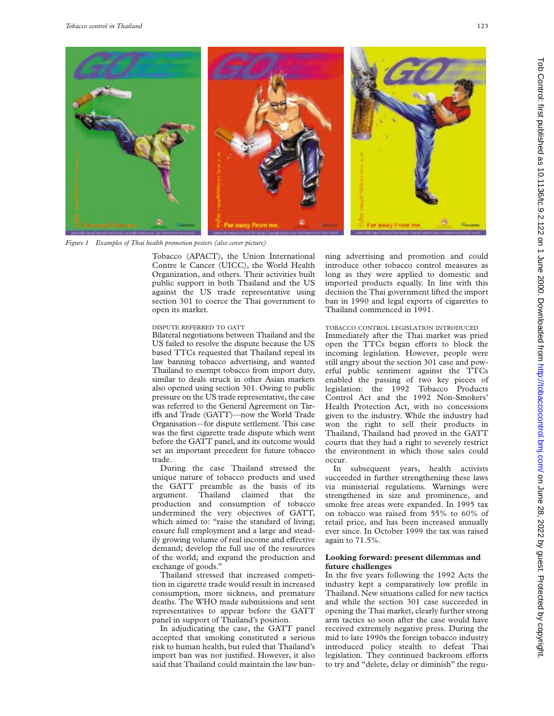

*Figure 1 Examples of Thai health promotion posters (also cover picture)*

Tobacco (APACT), the Union International Contre le Cancer (UICC), the World Health Organization, and others. Their activities built public support in both Thailand and the US against the US trade representative using section 301 to coerce the Thai government to open its market.

## DISPUTE REFERRED TO GATT

Bilateral negotiations between Thailand and the US failed to resolve the dispute because the US based TTCs requested that Thailand repeal its law banning tobacco advertising, and wanted Thailand to exempt tobacco from import duty, similar to deals struck in other Asian markets also opened using section 301. Owing to public pressure on the US trade representative, the case was referred to the General Agreement on Tariffs and Trade (GATT)—now the World Trade Organisation—for dispute settlement. This case was the first cigarette trade dispute which went before the GATT panel, and its outcome would set an important precedent for future tobacco trade.

During the case Thailand stressed the unique nature of tobacco products and used the GATT preamble as the basis of its argument. Thailand claimed that the production and consumption of tobacco undermined the very objectives of GATT, which aimed to: "raise the standard of living; ensure full employment and a large and steadily growing volume of real income and effective demand; develop the full use of the resources of the world; and expand the production and exchange of goods."

Thailand stressed that increased competition in cigarette trade would result in increased consumption, more sickness, and premature deaths. The WHO made submissions and sent representatives to appear before the GATT panel in support of Thailand's position.

In adjudicating the case, the GATT panel accepted that smoking constituted a serious risk to human health, but ruled that Thailand's import ban was not justified. However, it also said that Thailand could maintain the law banning advertising and promotion and could introduce other tobacco control measures as long as they were applied to domestic and imported products equally. In line with this decision the Thai government lifted the import ban in 1990 and legal exports of cigarettes to Thailand commenced in 1991.

## TOBACCO CONTROL LEGISLATION INTRODUCED

Immediately after the Thai market was pried open the TTCs began efforts to block the incoming legislation. However, people were still angry about the section 301 case and powerful public sentiment against the TTCs enabled the passing of two key pieces of legislation: the 1992 Tobacco Products Control Act and the 1992 Non-Smokers' Health Protection Act, with no concessions given to the industry. While the industry had won the right to sell their products in Thailand, Thailand had proved in the GATT courts that they had a right to severely restrict the environment in which those sales could occur.

In subsequent years, health activists succeeded in further strengthening these laws via ministerial regulations. Warnings were strengthened in size and prominence, and smoke free areas were expanded. In 1995 tax on tobacco was raised from 55% to 60% of retail price, and has been increased annually ever since. In October 1999 the tax was raised again to 71.5%.

#### **Looking forward: present dilemmas and future challenges**

In the five years following the 1992 Acts the industry kept a comparatively low profile in Thailand. New situations called for new tactics and while the section 301 case succeeded in opening the Thai market, clearly further strong arm tactics so soon after the case would have received extremely negative press. During the mid to late 1990s the foreign tobacco industry introduced policy stealth to defeat Thai legislation. They continued backroom efforts to try and "delete, delay or diminish" the regu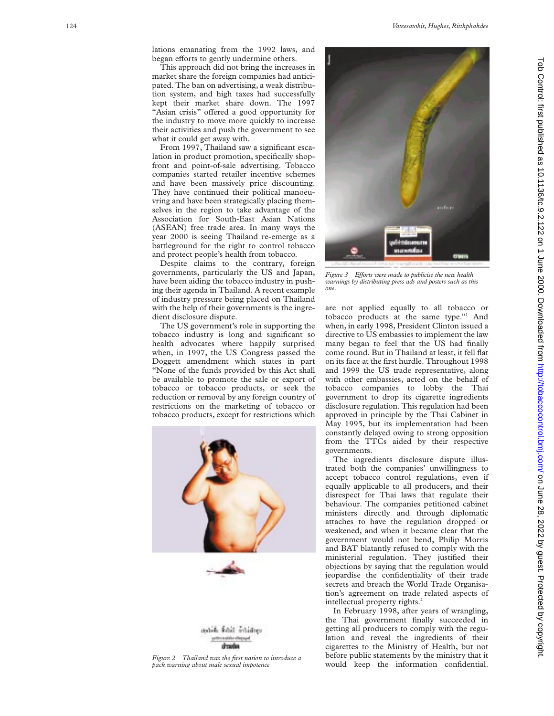lations emanating from the 1992 laws, and began efforts to gently undermine others.

This approach did not bring the increases in market share the foreign companies had anticipated. The ban on advertising, a weak distribution system, and high taxes had successfully kept their market share down. The 1997 "Asian crisis" offered a good opportunity for the industry to move more quickly to increase their activities and push the government to see what it could get away with.

From 1997, Thailand saw a significant escalation in product promotion, specifically shopfront and point-of-sale advertising. Tobacco companies started retailer incentive schemes and have been massively price discounting. They have continued their political manoeuvring and have been strategically placing themselves in the region to take advantage of the Association for South-East Asian Nations (ASEAN) free trade area. In many ways the year 2000 is seeing Thailand re-emerge as a battleground for the right to control tobacco and protect people's health from tobacco.

Despite claims to the contrary, foreign governments, particularly the US and Japan, have been aiding the tobacco industry in pushing their agenda in Thailand. A recent example of industry pressure being placed on Thailand with the help of their governments is the ingredient disclosure dispute.

The US government's role in supporting the tobacco industry is long and significant so health advocates where happily surprised when, in 1997, the US Congress passed the Doggett amendment which states in part "None of the funds provided by this Act shall be available to promote the sale or export of tobacco or tobacco products, or seek the reduction or removal by any foreign country of restrictions on the marketing of tobacco or tobacco products, except for restrictions which



*pack warning about male sexual impotence*



*Figure 3 Efforts were made to publicise the new health warnings by distributing press ads and posters such as this one.*

are not applied equally to all tobacco or tobacco products at the same type." <sup>1</sup> And when, in early 1998, President Clinton issued a directive to US embassies to implement the law many began to feel that the US had finally come round. But in Thailand at least, it fell flat on its face at the first hurdle. Throughout 1998 and 1999 the US trade representative, along with other embassies, acted on the behalf of tobacco companies to lobby the Thai government to drop its cigarette ingredients disclosure regulation. This regulation had been approved in principle by the Thai Cabinet in May 1995, but its implementation had been constantly delayed owing to strong opposition from the TTCs aided by their respective governments.

The ingredients disclosure dispute illustrated both the companies' unwillingness to accept tobacco control regulations, even if equally applicable to all producers, and their disrespect for Thai laws that regulate their behaviour. The companies petitioned cabinet ministers directly and through diplomatic attaches to have the regulation dropped or weakened, and when it became clear that the government would not bend, Philip Morris and BAT blatantly refused to comply with the ministerial regulation. They justified their objections by saying that the regulation would jeopardise the confidentiality of their trade secrets and breach the World Trade Organisation's agreement on trade related aspects of intellectual property rights. 2

In February 1998, after years of wrangling, the Thai government finally succeeded in getting all producers to comply with the regulation and reveal the ingredients of their cigarettes to the Ministry of Health, but not before public statements by the ministry that it Figure 2 Thailand was the first nation to introduce a **Figure 2 Pack was the information** confidential. *Fack warning about male sexual impotence* **a** *Would* **Reep** the information confidential.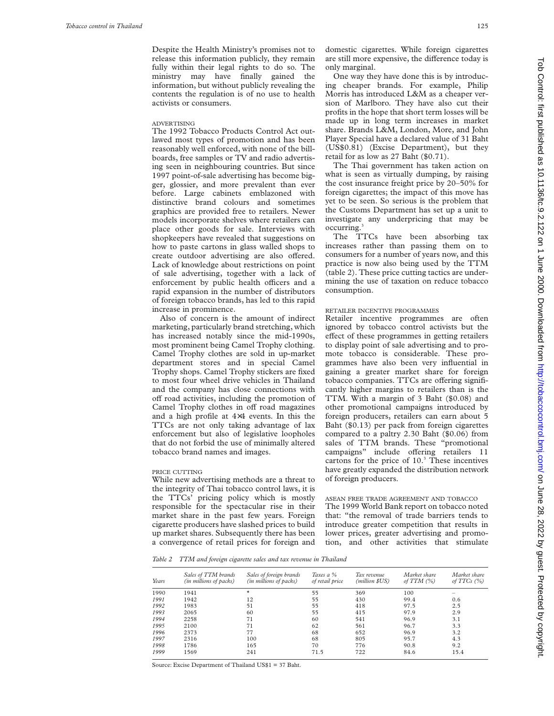Despite the Health Ministry's promises not to release this information publicly, they remain fully within their legal rights to do so. The ministry may have finally gained the information, but without publicly revealing the contents the regulation is of no use to health activists or consumers.

#### ADVERTISING

The 1992 Tobacco Products Control Act outlawed most types of promotion and has been reasonably well enforced, with none of the billboards, free samples or TV and radio advertising seen in neighbouring countries. But since 1997 point-of-sale advertising has become bigger, glossier, and more prevalent than ever before. Large cabinets emblazoned with distinctive brand colours and sometimes graphics are provided free to retailers. Newer models incorporate shelves where retailers can place other goods for sale. Interviews with shopkeepers have revealed that suggestions on how to paste cartons in glass walled shops to create outdoor advertising are also offered. Lack of knowledge about restrictions on point of sale advertising, together with a lack of enforcement by public health officers and a rapid expansion in the number of distributors of foreign tobacco brands, has led to this rapid increase in prominence.

Also of concern is the amount of indirect marketing, particularly brand stretching, which has increased notably since the mid-1990s, most prominent being Camel Trophy clothing. Camel Trophy clothes are sold in up-market department stores and in special Camel Trophy shops. Camel Trophy stickers are fixed to most four wheel drive vehicles in Thailand and the company has close connections with off road activities, including the promotion of Camel Trophy clothes in off road magazines and a high profile at 4×4 events. In this the TTCs are not only taking advantage of lax enforcement but also of legislative loopholes that do not forbid the use of minimally altered tobacco brand names and images.

#### PRICE CUTTING

While new advertising methods are a threat to the integrity of Thai tobacco control laws, it is the TTCs' pricing policy which is mostly responsible for the spectacular rise in their market share in the past few years. Foreign cigarette producers have slashed prices to build up market shares. Subsequently there has been a convergence of retail prices for foreign and

domestic cigarettes. While foreign cigarettes are still more expensive, the difference today is only marginal.

One way they have done this is by introducing cheaper brands. For example, Philip Morris has introduced L&M as a cheaper version of Marlboro. They have also cut their profits in the hope that short term losses will be made up in long term increases in market share. Brands L&M, London, More, and John Player Special have a declared value of 31 Baht (US\$0.81) (Excise Department), but they retail for as low as 27 Baht (\$0.71).

The Thai government has taken action on what is seen as virtually dumping, by raising the cost insurance freight price by 20–50% for foreign cigarettes; the impact of this move has yet to be seen. So serious is the problem that the Customs Department has set up a unit to investigate any underpricing that may be occurring.

The TTCs have been absorbing tax increases rather than passing them on to consumers for a number of years now, and this practice is now also being used by the TTM (table 2). These price cutting tactics are undermining the use of taxation on reduce tobacco consumption.

### RETAILER INCENTIVE PROGRAMMES

Retailer incentive programmes are often ignored by tobacco control activists but the effect of these programmes in getting retailers to display point of sale advertising and to promote tobacco is considerable. These programmes have also been very influential in gaining a greater market share for foreign tobacco companies. TTCs are offering significantly higher margins to retailers than is the TTM. With a margin of 3 Baht (\$0.08) and other promotional campaigns introduced by foreign producers, retailers can earn about 5 Baht (\$0.13) per pack from foreign cigarettes compared to a paltry 2.30 Baht (\$0.06) from sales of TTM brands. These "promotional campaigns" include offering retailers 11 cartons for the price of  $10<sup>3</sup>$ . These incentives have greatly expanded the distribution network of foreign producers.

# ASEAN FREE TRADE AGREEMENT AND TOBACCO The 1999 World Bank report on tobacco noted

that: "the removal of trade barriers tends to introduce greater competition that results in lower prices, greater advertising and promotion, and other activities that stimulate

*Table 2 TTM and foreign cigarette sales and tax revenue in Thailand*

| Years | Sales of TTM brands<br>(in millions of packs) | Sales of foreign brands<br>(in millions of packs) | Taxes a %<br>of retail price | Tax revenue<br>(million \$US) | Market share<br>of TTM $(%)$ | Market share<br>of $TTCs$ $(\%)$ |
|-------|-----------------------------------------------|---------------------------------------------------|------------------------------|-------------------------------|------------------------------|----------------------------------|
| 1990  | 1941                                          | $\star$                                           | 55                           | 369                           | 100                          |                                  |
| 1991  | 1942                                          | 12                                                | 55                           | 430                           | 99.4                         | 0.6                              |
| 1992  | 1983                                          | 51                                                | 55                           | 418                           | 97.5                         | 2.5                              |
| 1993  | 2065                                          | 60                                                | 55                           | 415                           | 97.9                         | 2.9                              |
| 1994  | 2258                                          | 71                                                | 60                           | 541                           | 96.9                         | 3.1                              |
| 1995  | 2100                                          | 71                                                | 62                           | 561                           | 96.7                         | 3.3                              |
| 1996  | 2373                                          | 77                                                | 68                           | 652                           | 96.9                         | 3.2                              |
| 1997  | 2316                                          | 100                                               | 68                           | 805                           | 95.7                         | 4.3                              |
| 1998  | 1786                                          | 165                                               | 70                           | 776                           | 90.8                         | 9.2                              |
| 1999  | 1569                                          | 241                                               | 71.5                         | 722                           | 84.6                         | 15.4                             |

Source: Excise Department of Thailand US\$1 = 37 Baht.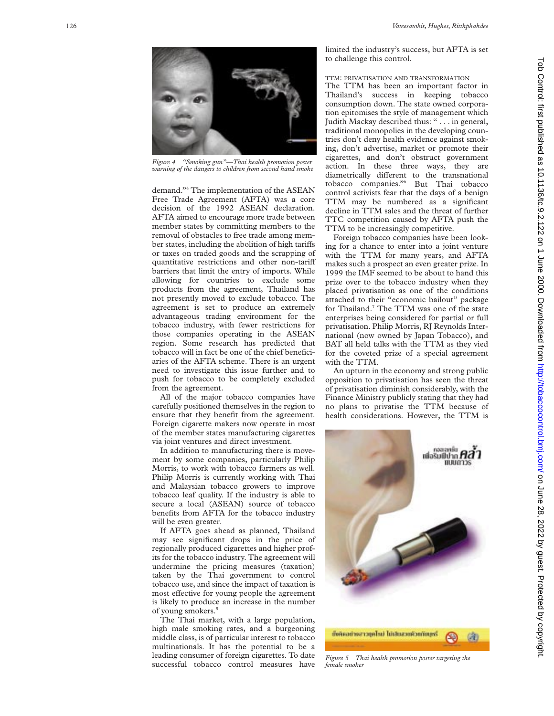

*Figure 4 "Smoking gun"—Thai health promotion poster warning of the dangers to children from second hand smoke*

demand." <sup>4</sup> The implementation of the ASEAN Free Trade Agreement (AFTA) was a core decision of the 1992 ASEAN declaration. AFTA aimed to encourage more trade between member states by committing members to the removal of obstacles to free trade among member states, including the abolition of high tariffs or taxes on traded goods and the scrapping of quantitative restrictions and other non-tariff barriers that limit the entry of imports. While allowing for countries to exclude some products from the agreement, Thailand has not presently moved to exclude tobacco. The agreement is set to produce an extremely advantageous trading environment for the tobacco industry, with fewer restrictions for those companies operating in the ASEAN region. Some research has predicted that tobacco will in fact be one of the chief beneficiaries of the AFTA scheme. There is an urgent need to investigate this issue further and to push for tobacco to be completely excluded from the agreement.

All of the major tobacco companies have carefully positioned themselves in the region to ensure that they benefit from the agreement. Foreign cigarette makers now operate in most of the member states manufacturing cigarettes via joint ventures and direct investment.

In addition to manufacturing there is movement by some companies, particularly Philip Morris, to work with tobacco farmers as well. Philip Morris is currently working with Thai and Malaysian tobacco growers to improve tobacco leaf quality. If the industry is able to secure a local (ASEAN) source of tobacco benefits from AFTA for the tobacco industry will be even greater.

If AFTA goes ahead as planned, Thailand may see significant drops in the price of regionally produced cigarettes and higher profits for the tobacco industry. The agreement will undermine the pricing measures (taxation) taken by the Thai government to control tobacco use, and since the impact of taxation is most effective for young people the agreement is likely to produce an increase in the number of young smokers. 5

The Thai market, with a large population, high male smoking rates, and a burgeoning middle class, is of particular interest to tobacco multinationals. It has the potential to be a leading consumer of foreign cigarettes. To date successful tobacco control measures have

limited the industry's success, but AFTA is set to challenge this control.

#### TTM : PRIVATISATION AND TRANSFORMATION

The TTM has been an important factor in Thailand's success in keeping tobacco consumption down. The state owned corporation epitomises the style of management which Judith Mackay described thus: " . . . in general, traditional monopolies in the developing countries don't deny health evidence against smoking, don't advertise, market or promote their cigarettes, and don't obstruct government action. In these three ways, they are diametrically different to the transnational tobacco companies." <sup>6</sup> But Thai tobacco control activists fear that the days of a benign TTM may be numbered as a significant decline in TTM sales and the threat of further TTC competition caused by AFTA push the TTM to be increasingly competitive.

Foreign tobacco companies have been looking for a chance to enter into a joint venture with the TTM for many years, and AFTA makes such a prospect an even greater prize. In 1999 the IMF seemed to be about to hand this prize over to the tobacco industry when they placed privatisation as one of the conditions attached to their "economic bailout" package for Thailand. <sup>7</sup> The TTM was one of the state enterprises being considered for partial or full privatisation. Philip Morris, RJ Reynolds International (now owned by Japan Tobacco), and BAT all held talks with the TTM as they vied for the coveted prize of a special agreement with the TTM.

An upturn in the economy and strong public opposition to privatisation has seen the threat of privatisation diminish considerably, with the Finance Ministry publicly stating that they had no plans to privatise the TTM because of health considerations. However, the TTM is



*Figure 5 Thai health promotion poster targeting the female smoker*